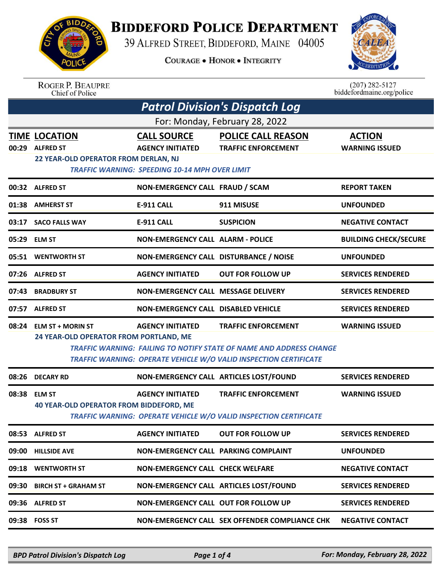

## **BIDDEFORD POLICE DEPARTMENT**

39 ALFRED STREET, BIDDEFORD, MAINE 04005

**COURAGE . HONOR . INTEGRITY** 



ROGER P. BEAUPRE<br>Chief of Police

 $(207)$  282-5127<br>biddefordmaine.org/police

| <b>Patrol Division's Dispatch Log</b> |                                                                                 |                                                                                                        |                                                                                                                                                                               |                                        |  |  |
|---------------------------------------|---------------------------------------------------------------------------------|--------------------------------------------------------------------------------------------------------|-------------------------------------------------------------------------------------------------------------------------------------------------------------------------------|----------------------------------------|--|--|
| For: Monday, February 28, 2022        |                                                                                 |                                                                                                        |                                                                                                                                                                               |                                        |  |  |
|                                       | <b>TIME LOCATION</b><br>00:29 ALFRED ST<br>22 YEAR-OLD OPERATOR FROM DERLAN, NJ | <b>CALL SOURCE</b><br><b>AGENCY INITIATED</b><br><b>TRAFFIC WARNING: SPEEDING 10-14 MPH OVER LIMIT</b> | <b>POLICE CALL REASON</b><br><b>TRAFFIC ENFORCEMENT</b>                                                                                                                       | <b>ACTION</b><br><b>WARNING ISSUED</b> |  |  |
|                                       | 00:32 ALFRED ST                                                                 | NON-EMERGENCY CALL FRAUD / SCAM                                                                        |                                                                                                                                                                               | <b>REPORT TAKEN</b>                    |  |  |
|                                       | 01:38 AMHERST ST                                                                | <b>E-911 CALL</b>                                                                                      | 911 MISUSE                                                                                                                                                                    | <b>UNFOUNDED</b>                       |  |  |
|                                       | 03:17 SACO FALLS WAY                                                            | <b>E-911 CALL</b>                                                                                      | <b>SUSPICION</b>                                                                                                                                                              | <b>NEGATIVE CONTACT</b>                |  |  |
|                                       | 05:29 ELM ST                                                                    | <b>NON-EMERGENCY CALL ALARM - POLICE</b>                                                               |                                                                                                                                                                               | <b>BUILDING CHECK/SECURE</b>           |  |  |
|                                       | 05:51 WENTWORTH ST                                                              | NON-EMERGENCY CALL DISTURBANCE / NOISE                                                                 |                                                                                                                                                                               | <b>UNFOUNDED</b>                       |  |  |
|                                       | 07:26 ALFRED ST                                                                 | <b>AGENCY INITIATED</b>                                                                                | <b>OUT FOR FOLLOW UP</b>                                                                                                                                                      | <b>SERVICES RENDERED</b>               |  |  |
| 07:43                                 | <b>BRADBURY ST</b>                                                              | NON-EMERGENCY CALL MESSAGE DELIVERY                                                                    |                                                                                                                                                                               | <b>SERVICES RENDERED</b>               |  |  |
| 07:57                                 | <b>ALFRED ST</b>                                                                | <b>NON-EMERGENCY CALL DISABLED VEHICLE</b>                                                             |                                                                                                                                                                               | <b>SERVICES RENDERED</b>               |  |  |
|                                       | 08:24 ELM ST + MORIN ST<br>24 YEAR-OLD OPERATOR FROM PORTLAND, ME               | <b>AGENCY INITIATED</b>                                                                                | <b>TRAFFIC ENFORCEMENT</b><br><b>TRAFFIC WARNING: FAILING TO NOTIFY STATE OF NAME AND ADDRESS CHANGE</b><br>TRAFFIC WARNING: OPERATE VEHICLE W/O VALID INSPECTION CERTIFICATE | <b>WARNING ISSUED</b>                  |  |  |
|                                       | 08:26 DECARY RD                                                                 |                                                                                                        | NON-EMERGENCY CALL ARTICLES LOST/FOUND                                                                                                                                        | <b>SERVICES RENDERED</b>               |  |  |
|                                       | 08:38 ELM ST<br><b>40 YEAR-OLD OPERATOR FROM BIDDEFORD, ME</b>                  | <b>AGENCY INITIATED</b>                                                                                | <b>TRAFFIC ENFORCEMENT</b><br>TRAFFIC WARNING: OPERATE VEHICLE W/O VALID INSPECTION CERTIFICATE                                                                               | <b>WARNING ISSUED</b>                  |  |  |
|                                       | 08:53 ALFRED ST                                                                 | <b>AGENCY INITIATED</b>                                                                                | <b>OUT FOR FOLLOW UP</b>                                                                                                                                                      | <b>SERVICES RENDERED</b>               |  |  |
|                                       | 09:00 HILLSIDE AVE                                                              | NON-EMERGENCY CALL PARKING COMPLAINT                                                                   |                                                                                                                                                                               | <b>UNFOUNDED</b>                       |  |  |
|                                       | 09:18 WENTWORTH ST                                                              | <b>NON-EMERGENCY CALL CHECK WELFARE</b>                                                                |                                                                                                                                                                               | <b>NEGATIVE CONTACT</b>                |  |  |
|                                       | 09:30 BIRCH ST + GRAHAM ST                                                      |                                                                                                        | NON-EMERGENCY CALL ARTICLES LOST/FOUND                                                                                                                                        | <b>SERVICES RENDERED</b>               |  |  |
|                                       | 09:36 ALFRED ST                                                                 | NON-EMERGENCY CALL OUT FOR FOLLOW UP                                                                   |                                                                                                                                                                               | <b>SERVICES RENDERED</b>               |  |  |
|                                       | 09:38 FOSS ST                                                                   |                                                                                                        | NON-EMERGENCY CALL SEX OFFENDER COMPLIANCE CHK                                                                                                                                | <b>NEGATIVE CONTACT</b>                |  |  |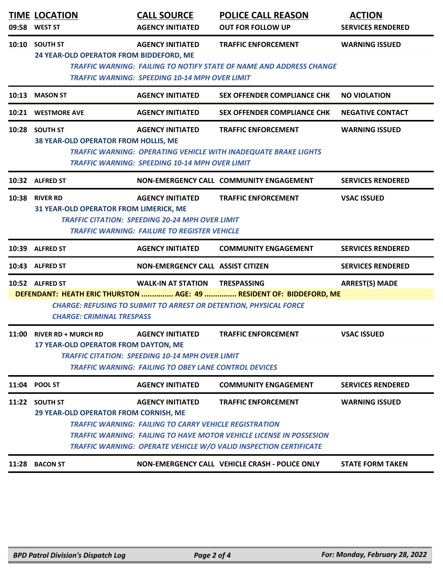| 09:58                                               | <b>TIME LOCATION</b><br><b>WEST ST</b>                 | <b>CALL SOURCE</b><br><b>AGENCY INITIATED</b>                 | <b>POLICE CALL REASON</b><br><b>OUT FOR FOLLOW UP</b>                      | <b>ACTION</b><br><b>SERVICES RENDERED</b> |  |  |  |
|-----------------------------------------------------|--------------------------------------------------------|---------------------------------------------------------------|----------------------------------------------------------------------------|-------------------------------------------|--|--|--|
|                                                     | 10:10 SOUTH ST                                         | <b>AGENCY INITIATED</b>                                       | <b>TRAFFIC ENFORCEMENT</b>                                                 | <b>WARNING ISSUED</b>                     |  |  |  |
|                                                     |                                                        | 24 YEAR-OLD OPERATOR FROM BIDDEFORD, ME                       |                                                                            |                                           |  |  |  |
|                                                     |                                                        |                                                               | <b>TRAFFIC WARNING: FAILING TO NOTIFY STATE OF NAME AND ADDRESS CHANGE</b> |                                           |  |  |  |
|                                                     | <b>TRAFFIC WARNING: SPEEDING 10-14 MPH OVER LIMIT</b>  |                                                               |                                                                            |                                           |  |  |  |
| 10:13                                               | <b>MASON ST</b>                                        | <b>AGENCY INITIATED</b>                                       | <b>SEX OFFENDER COMPLIANCE CHK</b>                                         | <b>NO VIOLATION</b>                       |  |  |  |
|                                                     | 10:21 WESTMORE AVE                                     | <b>AGENCY INITIATED</b>                                       | <b>SEX OFFENDER COMPLIANCE CHK</b>                                         | <b>NEGATIVE CONTACT</b>                   |  |  |  |
|                                                     | 10:28 SOUTH ST                                         | <b>AGENCY INITIATED</b>                                       | <b>TRAFFIC ENFORCEMENT</b>                                                 | <b>WARNING ISSUED</b>                     |  |  |  |
|                                                     | 38 YEAR-OLD OPERATOR FROM HOLLIS, ME                   |                                                               |                                                                            |                                           |  |  |  |
|                                                     |                                                        |                                                               | <b>TRAFFIC WARNING: OPERATING VEHICLE WITH INADEQUATE BRAKE LIGHTS</b>     |                                           |  |  |  |
|                                                     |                                                        | <b>TRAFFIC WARNING: SPEEDING 10-14 MPH OVER LIMIT</b>         |                                                                            |                                           |  |  |  |
|                                                     | 10:32 ALFRED ST                                        |                                                               | NON-EMERGENCY CALL COMMUNITY ENGAGEMENT                                    | <b>SERVICES RENDERED</b>                  |  |  |  |
|                                                     | 10:38 RIVER RD                                         | <b>AGENCY INITIATED</b>                                       | <b>TRAFFIC ENFORCEMENT</b>                                                 | <b>VSAC ISSUED</b>                        |  |  |  |
|                                                     | 31 YEAR-OLD OPERATOR FROM LIMERICK, ME                 |                                                               |                                                                            |                                           |  |  |  |
|                                                     |                                                        | <b>TRAFFIC CITATION: SPEEDING 20-24 MPH OVER LIMIT</b>        |                                                                            |                                           |  |  |  |
| <b>TRAFFIC WARNING: FAILURE TO REGISTER VEHICLE</b> |                                                        |                                                               |                                                                            |                                           |  |  |  |
|                                                     | 10:39 ALFRED ST                                        | <b>AGENCY INITIATED</b>                                       | <b>COMMUNITY ENGAGEMENT</b>                                                | <b>SERVICES RENDERED</b>                  |  |  |  |
| 10:43                                               | <b>ALFRED ST</b>                                       | NON-EMERGENCY CALL ASSIST CITIZEN                             |                                                                            | <b>SERVICES RENDERED</b>                  |  |  |  |
|                                                     | 10:52 ALFRED ST                                        | <b>WALK-IN AT STATION TRESPASSING</b>                         |                                                                            | <b>ARREST(S) MADE</b>                     |  |  |  |
|                                                     |                                                        |                                                               | DEFENDANT: HEATH ERIC THURSTON  AGE: 49  RESIDENT OF: BIDDEFORD, ME        |                                           |  |  |  |
|                                                     |                                                        |                                                               | <b>CHARGE: REFUSING TO SUBMIT TO ARREST OR DETENTION, PHYSICAL FORCE</b>   |                                           |  |  |  |
|                                                     | <b>CHARGE: CRIMINAL TRESPASS</b>                       |                                                               |                                                                            |                                           |  |  |  |
|                                                     | 11:00 RIVER RD + MURCH RD                              | <b>AGENCY INITIATED</b>                                       | <b>TRAFFIC ENFORCEMENT</b>                                                 | <b>VSAC ISSUED</b>                        |  |  |  |
|                                                     | 17 YEAR-OLD OPERATOR FROM DAYTON, ME                   |                                                               |                                                                            |                                           |  |  |  |
|                                                     | <b>TRAFFIC CITATION: SPEEDING 10-14 MPH OVER LIMIT</b> |                                                               |                                                                            |                                           |  |  |  |
|                                                     |                                                        | <b>TRAFFIC WARNING: FAILING TO OBEY LANE CONTROL DEVICES</b>  |                                                                            |                                           |  |  |  |
|                                                     | 11:04 POOL ST                                          | <b>AGENCY INITIATED</b>                                       | <b>COMMUNITY ENGAGEMENT</b>                                                | <b>SERVICES RENDERED</b>                  |  |  |  |
|                                                     | 11:22 SOUTH ST                                         | <b>AGENCY INITIATED</b>                                       | <b>TRAFFIC ENFORCEMENT</b>                                                 | <b>WARNING ISSUED</b>                     |  |  |  |
|                                                     | 29 YEAR-OLD OPERATOR FROM CORNISH, ME                  |                                                               |                                                                            |                                           |  |  |  |
|                                                     |                                                        | <b>TRAFFIC WARNING: FAILING TO CARRY VEHICLE REGISTRATION</b> |                                                                            |                                           |  |  |  |
|                                                     |                                                        |                                                               | <b>TRAFFIC WARNING: FAILING TO HAVE MOTOR VEHICLE LICENSE IN POSSESION</b> |                                           |  |  |  |
|                                                     |                                                        |                                                               | <b>TRAFFIC WARNING: OPERATE VEHICLE W/O VALID INSPECTION CERTIFICATE</b>   |                                           |  |  |  |
| 11:28                                               | <b>BACON ST</b>                                        |                                                               | NON-EMERGENCY CALL VEHICLE CRASH - POLICE ONLY                             | <b>STATE FORM TAKEN</b>                   |  |  |  |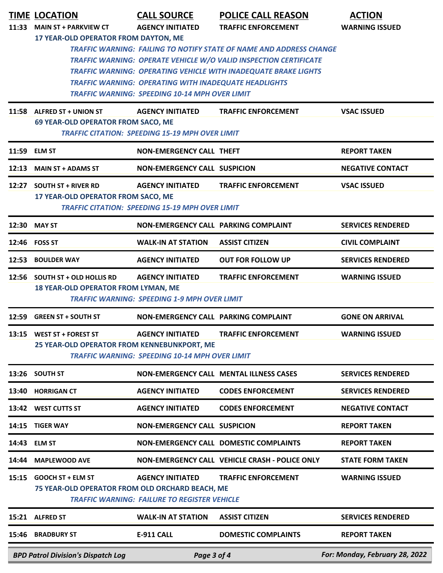|                                                          | <b>TIME LOCATION</b>                                                        | <b>CALL SOURCE</b>                                                                                                    | <b>POLICE CALL REASON</b>                                                                                                                                                                                                 | <b>ACTION</b>                  |  |
|----------------------------------------------------------|-----------------------------------------------------------------------------|-----------------------------------------------------------------------------------------------------------------------|---------------------------------------------------------------------------------------------------------------------------------------------------------------------------------------------------------------------------|--------------------------------|--|
| 11:33                                                    | <b>MAIN ST + PARKVIEW CT</b>                                                | <b>AGENCY INITIATED</b>                                                                                               | <b>TRAFFIC ENFORCEMENT</b>                                                                                                                                                                                                | <b>WARNING ISSUED</b>          |  |
|                                                          | 17 YEAR-OLD OPERATOR FROM DAYTON, ME                                        | <b>TRAFFIC WARNING: OPERATING WITH INADEQUATE HEADLIGHTS</b><br><b>TRAFFIC WARNING: SPEEDING 10-14 MPH OVER LIMIT</b> | <b>TRAFFIC WARNING: FAILING TO NOTIFY STATE OF NAME AND ADDRESS CHANGE</b><br>TRAFFIC WARNING: OPERATE VEHICLE W/O VALID INSPECTION CERTIFICATE<br><b>TRAFFIC WARNING: OPERATING VEHICLE WITH INADEQUATE BRAKE LIGHTS</b> |                                |  |
|                                                          | 11:58 ALFRED ST + UNION ST                                                  | <b>AGENCY INITIATED</b>                                                                                               | <b>TRAFFIC ENFORCEMENT</b>                                                                                                                                                                                                | <b>VSAC ISSUED</b>             |  |
|                                                          | 69 YEAR-OLD OPERATOR FROM SACO, ME                                          |                                                                                                                       |                                                                                                                                                                                                                           |                                |  |
|                                                          | <b>TRAFFIC CITATION: SPEEDING 15-19 MPH OVER LIMIT</b>                      |                                                                                                                       |                                                                                                                                                                                                                           |                                |  |
| 11:59                                                    | <b>ELM ST</b>                                                               | <b>NON-EMERGENCY CALL THEFT</b>                                                                                       |                                                                                                                                                                                                                           | <b>REPORT TAKEN</b>            |  |
| 12:13                                                    | <b>MAIN ST + ADAMS ST</b>                                                   | <b>NON-EMERGENCY CALL SUSPICION</b>                                                                                   |                                                                                                                                                                                                                           | <b>NEGATIVE CONTACT</b>        |  |
|                                                          | 12:27 SOUTH ST + RIVER RD                                                   | <b>AGENCY INITIATED</b>                                                                                               | <b>TRAFFIC ENFORCEMENT</b>                                                                                                                                                                                                | <b>VSAC ISSUED</b>             |  |
|                                                          | 17 YEAR-OLD OPERATOR FROM SACO, ME                                          | <b>TRAFFIC CITATION: SPEEDING 15-19 MPH OVER LIMIT</b>                                                                |                                                                                                                                                                                                                           |                                |  |
|                                                          | 12:30 MAY ST                                                                | NON-EMERGENCY CALL PARKING COMPLAINT                                                                                  |                                                                                                                                                                                                                           | <b>SERVICES RENDERED</b>       |  |
|                                                          | 12:46 FOSS ST                                                               | <b>WALK-IN AT STATION</b>                                                                                             | <b>ASSIST CITIZEN</b>                                                                                                                                                                                                     | <b>CIVIL COMPLAINT</b>         |  |
| 12:53                                                    | <b>BOULDER WAY</b>                                                          | <b>AGENCY INITIATED</b>                                                                                               | <b>OUT FOR FOLLOW UP</b>                                                                                                                                                                                                  | <b>SERVICES RENDERED</b>       |  |
|                                                          | 12:56 SOUTH ST + OLD HOLLIS RD<br>18 YEAR-OLD OPERATOR FROM LYMAN, ME       | <b>AGENCY INITIATED</b><br><b>TRAFFIC WARNING: SPEEDING 1-9 MPH OVER LIMIT</b>                                        | <b>TRAFFIC ENFORCEMENT</b>                                                                                                                                                                                                | <b>WARNING ISSUED</b>          |  |
| 12:59                                                    | <b>GREEN ST + SOUTH ST</b>                                                  | NON-EMERGENCY CALL PARKING COMPLAINT                                                                                  |                                                                                                                                                                                                                           | <b>GONE ON ARRIVAL</b>         |  |
|                                                          | 13:15 WEST ST + FOREST ST<br>25 YEAR-OLD OPERATOR FROM KENNEBUNKPORT, ME    | <b>AGENCY INITIATED</b><br><b>TRAFFIC WARNING: SPEEDING 10-14 MPH OVER LIMIT</b>                                      | <b>TRAFFIC ENFORCEMENT</b>                                                                                                                                                                                                | <b>WARNING ISSUED</b>          |  |
| 13:26                                                    | <b>SOUTH ST</b>                                                             |                                                                                                                       | <b>NON-EMERGENCY CALL MENTAL ILLNESS CASES</b>                                                                                                                                                                            | <b>SERVICES RENDERED</b>       |  |
| 13:40                                                    | <b>HORRIGAN CT</b>                                                          | <b>AGENCY INITIATED</b>                                                                                               | <b>CODES ENFORCEMENT</b>                                                                                                                                                                                                  | <b>SERVICES RENDERED</b>       |  |
|                                                          | 13:42 WEST CUTTS ST                                                         | <b>AGENCY INITIATED</b>                                                                                               | <b>CODES ENFORCEMENT</b>                                                                                                                                                                                                  | <b>NEGATIVE CONTACT</b>        |  |
| 14:15                                                    | <b>TIGER WAY</b>                                                            | <b>NON-EMERGENCY CALL SUSPICION</b>                                                                                   |                                                                                                                                                                                                                           | <b>REPORT TAKEN</b>            |  |
| 14:43                                                    | <b>ELM ST</b>                                                               |                                                                                                                       | NON-EMERGENCY CALL DOMESTIC COMPLAINTS                                                                                                                                                                                    | <b>REPORT TAKEN</b>            |  |
| 14:44                                                    | <b>MAPLEWOOD AVE</b>                                                        |                                                                                                                       | NON-EMERGENCY CALL VEHICLE CRASH - POLICE ONLY                                                                                                                                                                            | <b>STATE FORM TAKEN</b>        |  |
| 15:15                                                    | <b>GOOCH ST + ELM ST</b><br>75 YEAR-OLD OPERATOR FROM OLD ORCHARD BEACH, ME | <b>AGENCY INITIATED</b><br><b>TRAFFIC WARNING: FAILURE TO REGISTER VEHICLE</b>                                        | <b>TRAFFIC ENFORCEMENT</b>                                                                                                                                                                                                | <b>WARNING ISSUED</b>          |  |
|                                                          | 15:21 ALFRED ST                                                             | <b>WALK-IN AT STATION</b>                                                                                             | <b>ASSIST CITIZEN</b>                                                                                                                                                                                                     | <b>SERVICES RENDERED</b>       |  |
| 15:46                                                    | <b>BRADBURY ST</b>                                                          | <b>E-911 CALL</b>                                                                                                     | <b>DOMESTIC COMPLAINTS</b>                                                                                                                                                                                                | <b>REPORT TAKEN</b>            |  |
| <b>BPD Patrol Division's Dispatch Log</b><br>Page 3 of 4 |                                                                             |                                                                                                                       |                                                                                                                                                                                                                           | For: Monday, February 28, 2022 |  |